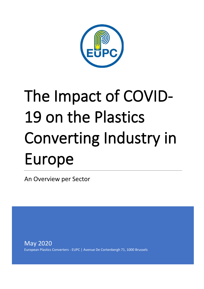

# The Impact of COVID-19 on the Plastics Converting Industry in Europe

An Overview per Sector

May 2020 European Plastics Converters - EUPC | Avenue De Cortenbergh 71, 1000 Brussels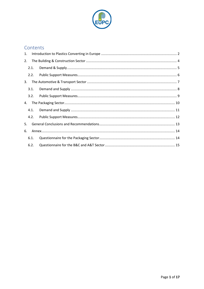

## Contents

| 1. |      |  |
|----|------|--|
| 2. |      |  |
|    | 2.1. |  |
|    | 2.2. |  |
| 3. |      |  |
|    | 3.1. |  |
|    | 3.2. |  |
| 4. |      |  |
|    | 4.1. |  |
|    | 4.2. |  |
| 5. |      |  |
| 6. |      |  |
|    | 6.1. |  |
|    | 6.2. |  |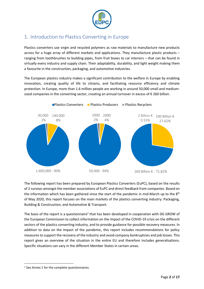

# <span id="page-2-0"></span>1. Introduction to Plastics Converting in Europe

Plastics converters use virgin and recycled polymers as raw materials to manufacture new products across for a huge array of different markets and applications. They manufacture plastic products – ranging from toothbrushes to building pipes, from fruit boxes to car interiors – that can be found in virtually every industry and supply chain. Their adaptability, durability, and light weight making them a favourite in the construction, packaging, and automotive industries.

The European plastics industry makes a significant contribution to the welfare in Europe by enabling innovation, creating quality of life to citizens, and facilitating resource efficiency and climate protection. In Europe, more than 1.6 million people are working in around 50,000 small and mediumsized companies in the converting sector, creating an annual turnover in excess of  $\epsilon$  260 billion.



The following report has been prepared by European Plastics Converters (EuPC), based on the results of 2 surveys amongst the member associations of EuPC and direct feedback from companies. Based on the information which has been gathered since the start of the pandemic in mid-March up to the 8<sup>th</sup> of May 2020, this report focuses on the main markets of the plastics converting industry: Packaging, Building & Construction, and Automotive & Transport.

The basis of the report is a questionnaire<sup>1</sup> that has been developed in cooperation with DG GROW of the European Commission to collect information on the impact of the COVID-19 crisis on the different sectors of the plastics converting industry, and to provide guidance for possible recovery measures. In addition to data on the impact of the pandemic, this report includes recommendations for policy measures to support the recovery of the industry and avoid company bankruptcies and job losses. This report gives an overview of the situation in the entire EU and therefore includes generalisations. Specific situations can vary in the different Member States in certain areas.

<sup>&</sup>lt;sup>1</sup> See Annex 1 for the complete questionnaires.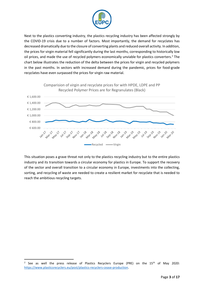

Next to the plastics converting industry, the plastics recycling industry has been affected strongly by the COVID-19 crisis due to a number of factors. Most importantly, the demand for recyclates has decreased dramatically due to the closure of converting plants and reduced overall activity. In addition, the prices for virgin material fell significantly during the last months, corresponding to historically low oil prices, and made the use of recycled polymers economically unviable for plastics converters.<sup>2</sup> The chart below illustrates the reduction of the delta between the prices for virgin and recycled polymers in the past months. In sectors with increased demand during the pandemic, prices for food-grade recyclates have even surpassed the prices for virgin raw material.



This situation poses a grave threat not only to the plastics recycling industry but to the entire plastics industry and its transition towards a circular economy for plastics in Europe. To support the recovery of the sector and overall transition to a circular economy in Europe, investments into the collecting, sorting, and recycling of waste are needed to create a resilient market for recyclate that is needed to reach the ambitious recycling targets.

<sup>&</sup>lt;sup>2</sup> See as well the press release of Plastics Recyclers Europe (PRE) on the  $15<sup>th</sup>$  of May 2020: [https://www.plasticsrecyclers.eu/post/plastics-recyclers-cease-production.](https://www.plasticsrecyclers.eu/post/plastics-recyclers-cease-production)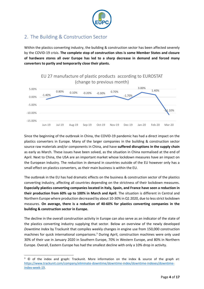

# <span id="page-4-0"></span>2. The Building & Construction Sector

Within the plastics converting industry, the building & construction sector has been affected severely by the COVID-19 crisis. **The complete stop of construction sites is some Member States and closure of hardware stores all over Europe has led to a sharp decrease in demand and forced many converters to partly and temporarily close their plants.**



Since the beginning of the outbreak in China, the COVID-19 pandemic has had a direct impact on the plastics converters in Europe. Many of the larger companies in the building & construction sector source raw materials and/or components in China, and have **suffered disruptions in the supply chain** as early as March. These issues have been solved, as the situation in China normalised at the end of April. Next to China, the USA are an important market whose lockdown measures have an impact on the European industry. The reduction in demand in countries outside of the EU however only has a small effect on plastics converters, as their main business is within the EU.

The outbreak in the EU has had dramatic effects on the business & construction sector of the plastics converting industry, affecting all countries depending on the strictness of their lockdown measures. **Especially plastics converting companies located in Italy, Spain, and France have seen a reduction in their production from 60% up to 100% in March and April**. The situation is different in Central and Northern Europe where production decreased by about 10-30% in Q1 2020, due to less strict lockdown measures. **On average, there is a reduction of 40-60% for plastics converting companies in the building & construction sector in Europe.**

The decline in the overall construction activity in Europe can also serve as an indicator of the state of the plastics converting industry supplying that sector. Below an overview of the newly developed *Downtime Index* by Trackunit that compiles weekly changes in engine use from 150,000 construction machines for quick international comparisons.<sup>3</sup> During April, construction machines were only used 30% of their use in January 2020 in Southern Europe, 70% in Western Europe, and 80% in Northern Europe. Overall, Eastern Europe has had the smallest decline with only a 10% drop in activity.

 $3 \circ$  of the index and graph: Trackunit. More information on the index & source of the graph at: [https://www.trackunit.com/company/eliminate-downtime/downtime-index/downtime-indexes/downtime](https://www.trackunit.com/company/eliminate-downtime/downtime-index/downtime-indexes/downtime-index-week-19)[index-week-19.](https://www.trackunit.com/company/eliminate-downtime/downtime-index/downtime-indexes/downtime-index-week-19)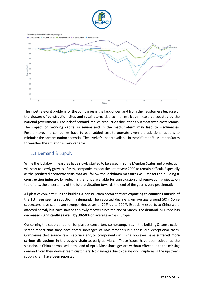



The most relevant problem for the companies is the **lack of demand from their customers because of the closure of construction sites and retail stores** due to the restrictive measures adopted by the national governments. The lack of demand implies production disruptions but most fixed costs remain. The **impact on working capital is severe and in the medium-term may lead to insolvencies**. Furthermore, the companies have to bear added cost to operate given the additional actions to minimise the contamination potential. The level of support available in the different EU Member States to weather the situation is very variable.

#### <span id="page-5-0"></span>2.1.Demand & Supply

While the lockdown measures have slowly started to be eased in some Member States and production will start to slowly grow as of May, companies expect the entire year 2020 to remain difficult. Especially as **the predicted economic crisis that will follow the lockdown measures will impact the building & construction industry**, by reducing the funds available for construction and renovation projects. On top of this, the uncertainty of the future situation towards the end of the year is very problematic.

All plastics converters in the building & construction sector that are **exporting to countries outside of the EU have seen a reduction in demand**. The reported decline is on average around 50%. Some subsectors have seen even stronger decreases of 70% up to 100%. Especially exports to China were affected heavily but have started to slowly recover since the end of March. **The demand in Europe has decreased significantly as well, by 30-50%** on average across Europe.

Concerning the supply situation for plastics converters, some companies in the building & construction sector report that they have faced shortages of raw materials but these are exceptional cases. Companies that source raw materials and/or components in China however have **suffered more serious disruptions in the supply chain** as early as March. These issues have been solved, as the situation in China normalised at the end of April. Most shortages are without effect due to the missing demand from their downstream customers. No damages due to delays or disruptions in the upstream supply chain have been reported.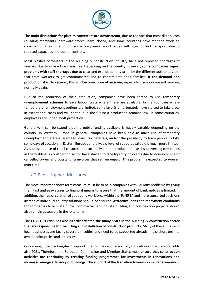

**The main disruptions for plastics converters are downstream**, due to the fact that most distributors (building merchants, hardware stores) have closed, and some countries have stopped work on construction sites. In addition, some companies report issues with logistics and transport, due to reduced capacities and border controls.

Most plastics converters in the building & construction industry have not reported shortages of workers due to quarantine measures. Depending on the country however, **some companies report problems with staff shortages** due to clear and explicit actions taken by the different authorities and fear from workers to get contaminated and to contaminate their families. **If the demand and production start to recover, this will become more of an issue**, especially if schools are not working normally again.

Due to the reduction of their production, companies have been forced to use **temporary unemployment schemes** to save labour costs where these are available. In the countries where temporary unemployment options are limited, some layoffs unfortunately have started to take place in exceptional cases and will continue in the future if production remains low. In some countries, employees are under layoff protection.

Generally, it can be stated that the public funding available is hugely variable depending on the country. In Western Europe in general, companies have been able to make use of temporary unemployment, state-guaranteed loans, tax deferrals, and/or the possibility to force people to take some days of vacation. In Eastern Europe generally, the level of support available is much more limited. As a consequence of retail closures and extremely limited production, plastics converting companies in the building & construction sector have started to face liquidity problems due to non-incoming or cancelled orders and outstanding invoices that remain unpaid. **This problem is expected to worsen over time.**

#### <span id="page-6-0"></span>2.2.Public Support Measures

The most important short-term measure must be to help companies with liquidity problems by giving them **fast and easy access to financial means** to assure that the amount of bankruptcies is limited. In addition, the free circulation of goods and workforce within the EU/EFTA and more concerted decisions instead of individual country solutions should be ensured. **Attractive loans and repayment conditions for companies** to activate public, commercial, and private building and construction projects should also remain accessible in the long term.

The COVID-19 crisis has also directly affected **the many SMEs in the building & construction sector that are responsible for the fitting and installation of construction products**. Many of these small and local businesses are facing severe difficulties and need to be supported already in the short term to avoid bankruptcies and job losses.

Concerning, possible long-term support, the industry will face a very difficult year 2020 and possibly also 2021. Therefore, the European Commission and Member States must **ensure that construction activities are continuing by creating funding programmes for investments in renovations and increased energy efficiency of buildings**. **The support of the transition towards a circular economy in**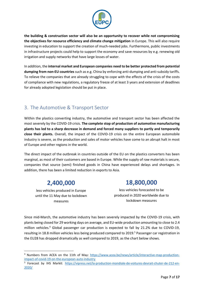

**the building & construction sector will also be an opportunity to recover while not compromising the objectives for resource efficiency and climate change mitigation** in Europe. This will also require investing in education to support the creation of much-needed jobs. Furthermore, public investments in infrastructure projects could help to support the economy and save resources by e.g. renewing old irrigation and supply networks that have large losses of water.

In addition, the **internal market and European companies need to be better protected from potential dumping from non-EU countries** such as e.g. China by enforcing anti-dumping and anti-subsidy tariffs. To relieve the companies that are already struggling to cope with the effects of the crisis of the costs of compliance with new regulations, a regulatory freeze of at least 3 years and extension of deadlines for already adopted legislation should be put in place.

# <span id="page-7-0"></span>3. The Automotive & Transport Sector

Within the plastics converting industry, the automotive and transport sector has been affected the most severely by the COVID-19 crisis. **The complete stop of production of automotive manufacturing plants has led to a sharp decrease in demand and forced many suppliers to partly and temporarily close their plants.** Overall, the impact of the COVID-19 crisis on the entire European automobile industry is severe, as the production and sales of motor vehicles have come to an abrupt halt in most of Europe and other regions in the world.

The direct impact of the outbreak in countries outside of the EU on the plastics converters has been marginal, as most of their customers are based in Europe. While the supply of raw materials is secure, companies that source (semi) finished goods in China have experienced delays and shortages. In addition, there has been a limited reduction in exports to Asia.

# **2,400,000**

less vehicles produced in Europe until the 11 May due to lockdown measures

# **18,800,000**

less vehicles forecasted to be produced in 2020 worldwide due to lockdown measures

Since mid-March, the automotive industry has been severely impacted by the COVID-19 crisis, with plants being closed for 29 working days on average, and EU-wide production amounting to close to 2.4 million vehicles.<sup>4</sup> Global passenger car production is expected to fall by 21.2% due to COVID-19, resulting in 18.8 million vehicles less being produced compared to 2019.<sup>5</sup> Passenger car registration in the EU28 has dropped dramatically as well compared to 2019, as the chart below shows.

<sup>&</sup>lt;sup>4</sup> Numbers from ACEA on the 11th of May: [https://www.acea.be/news/article/interactive-map-production](https://www.acea.be/news/article/interactive-map-production-impact-of-covid-19-on-the-european-auto-industry)[impact-of-covid-19-on-the-european-auto-industry](https://www.acea.be/news/article/interactive-map-production-impact-of-covid-19-on-the-european-auto-industry)

<sup>&</sup>lt;sup>5</sup> Forecast by IHS Markit: [https://vipress.net/la-production-mondiale-de-voitures-devrait-chuter-de-212-en-](https://vipress.net/la-production-mondiale-de-voitures-devrait-chuter-de-212-en-2020/)[2020/](https://vipress.net/la-production-mondiale-de-voitures-devrait-chuter-de-212-en-2020/)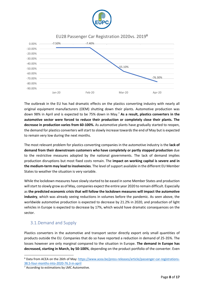

EU28 Passenger Car Registration 2020vs. 2019<sup>6</sup>



The outbreak in the EU has had dramatic effects on the plastics converting industry with nearly all original equipment manufacturers (OEM) shutting down their plants. Automotive production was down 98% in April and is expected to be 75% down in May.<sup>7</sup> **As a result, plastics converters in the automotive sector were forced to reduce their production or completely close their plants. The decrease in production varies from 60-100%.** As automotive plants have gradually started to reopen, the demand for plastics converters will start to slowly increase towards the end of May but is expected to remain very low during the next months.

The most relevant problem for plastics converting companies in the automotive industry is the **lack of demand from their downstream customers who have completely or partly stopped production** due to the restrictive measures adopted by the national governments. The lack of demand implies production disruptions but most fixed costs remain. The **impact on working capital is severe and in the medium-term may lead to insolvencies**. The level of support available in the different EU Member States to weather the situation is very variable.

While the lockdown measures have slowly started to be eased in some Member States and production will start to slowly grow as of May, companies expect the entire year 2020 to remain difficult. Especially as **the predicted economic crisis that will follow the lockdown measures will impact the automotive industry**, which was already seeing reductions in volumes before the pandemic. As seen above, the worldwide automotive production is expected to decrease by 21.2% in 2020, and production of light vehicles in Europe is expected to decrease by 17%, which would have dramatic consequences on the sector.

#### <span id="page-8-0"></span>3.1.Demand and Supply

Plastics converters in the automotive and transport sector directly export only small quantities of products outside the EU. Companies that do so have reported a reduction in demand of 25-35%. The losses however are only marginal compared to the situation in Europe. **The demand in Europe has decreased, starting in March, by 50-100%**, depending on the product portfolio of the converter. Even

<sup>6</sup> Data from ACEA on the 26th of May: [https://www.acea.be/press-releases/article/passenger-car-registrations-](https://www.acea.be/press-releases/article/passenger-car-registrations-38.5-four-months-into-2020-76.3-in-april)[38.5-four-months-into-2020-76.3-in-april](https://www.acea.be/press-releases/article/passenger-car-registrations-38.5-four-months-into-2020-76.3-in-april)

<sup>7</sup> According to estimations by LMC Automotive.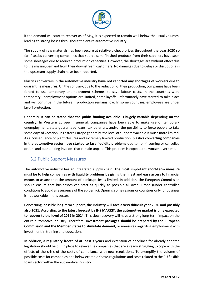

if the demand will start to recover as of May, it is expected to remain well below the usual volumes, leading to strong losses throughout the entire automotive industry.

The supply of raw materials has been secure at relatively cheap prices throughout the year 2020 so far. Plastics converting companies that source semi-finished products from their suppliers have seen some shortages due to reduced production capacities. However, the shortages are without effect due to the missing demand from their downstream customers. No damages due to delays or disruptions in the upstream supply chain have been reported.

**Plastics converters in the automotive industry have not reported any shortages of workers due to quarantine measures.** On the contrary, due to the reduction of their production, companies have been forced to use temporary unemployment schemes to save labour costs. In the countries were temporary unemployment options are limited, some layoffs unfortunately have started to take place and will continue in the future if production remains low. In some countries, employees are under layoff protection.

Generally, it can be stated that **the public funding available is hugely variable depending on the country**. In Western Europe in general, companies have been able to make use of temporary unemployment, state-guaranteed loans, tax deferrals, and/or the possibility to force people to take some days of vacation. In Eastern Europe generally, the level of support available is much more limited. As a consequence of plant closures and extremely limited production**, plastics converting companies in the automotive sector have started to face liquidity problems** due to non-incoming or cancelled orders and outstanding invoices that remain unpaid. This problem is expected to worsen over time.

#### <span id="page-9-0"></span>3.2.Public Support Measures

The automotive industry has an integrated supply chain. **The most important short-term measure must be to help companies with liquidity problems by giving them fast and easy access to financial means** to assure that the amount of bankruptcies is limited. In addition, the European Commission should ensure that businesses can start as quickly as possible all over Europe (under controlled conditions to avoid a resurgence of the epidemic). Opening some regions or countries only for business is not workable in this sector.

Concerning, possible long-term support**, the industry will face a very difficult year 2020 and possibly also 2021. According to the latest forecast by IHS MARKIT, the automotive market is only expected to recover to the level of 2019 in 2024.** This slow recovery will have a strong long-term impact on the entire automotive industry. Therefore, **investment packages should be prepared by the European Commission and the Member States to stimulate demand**, or measures regarding employment with investment in training and education.

In addition, a **regulatory freeze of at least 3 years** and extension of deadlines for already adopted legislation should be put in place to relieve the companies that are already struggling to cope with the effects of the crisis of the costs of compliance with new regulations. To exemplify the volume of possible costs for companies, the below example shows regulations and costs related to the PU flexible foam sector within the automotive industry.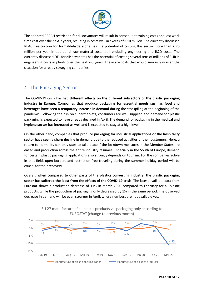

The adopted REACH restriction for diisocyanates will result in consequent training costs and lost work time cost over the next 2 years, resulting in costs well in excess of € 10 million. The currently discussed REACH restriction for formaldehyde alone has the potential of costing this sector more than  $\epsilon$  25 million per year in additional raw material costs, still excluding engineering and R&D costs. The currently discussed OEL for diisocyanates has the potential of costing several tens of millions of EUR in engineering costs in plants over the next 2-3 years. These are costs that would seriously worsen the situation for already struggling companies.

# <span id="page-10-0"></span>4. The Packaging Sector

The COVID-19 crisis has had **different effects on the different subsectors of the plastic packaging industry in Europe**. Companies that produce **packaging for essential goods such as food and beverages have seen a temporary increase in demand** during the stockpiling at the beginning of the pandemic. Following the run on supermarkets, consumers are well supplied and demand for plastic packaging is expected to have already declined in April. The demand for packaging in the **medical and hygiene sector has increased** as well and is expected to stay at a high level.

On the other hand, companies that produce **packaging for industrial applications or the hospitality sector have seen a sharp decline** in demand due to the reduced activities of their customers. Here, a return to normality can only start to take place if the lockdown measures in the Member States are eased and production across the entire industry resumes. Especially in the South of Europe, demand for certain plastic packaging applications also strongly depends on tourism. For the companies active in that field, open borders and restriction-free traveling during the summer holiday period will be crucial for their recovery.

Overall, **when compared to other parts of the plastics converting industry, the plastic packaging sector has suffered the least from the effects of the COVID-19 crisis**. The latest available data from Eurostat shows a production decrease of 11% in March 2020 compared to February for all plastic products, while the production of packaging only decreased by 1% in the same period. The observed decrease in demand will be even stronger in April, where numbers are not available yet.



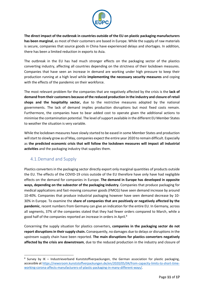

**The direct impact of the outbreak in countries outside of the EU on plastic packaging manufacturers has been marginal**, as most of their customers are based in Europe. While the supply of raw materials is secure, companies that source goods in China have experienced delays and shortages. In addition, there has been a limited reduction in exports to Asia.

The outbreak in the EU has had much stronger effects on the packaging sector of the plastics converting industry, affecting all countries depending on the strictness of their lockdown measures. Companies that have seen an increase in demand are working under high pressure to keep their production running at a high level while **implementing the necessary security measures** and coping with the effects of the pandemic on their workforce.

The most relevant problem for the companies that are negatively affected by the crisis is the **lack of demand from their customers because of the reduced production in the industry and closure of retail shops and the hospitality sector,** due to the restrictive measures adopted by the national governments. The lack of demand implies production disruptions but most fixed costs remain. Furthermore, the companies have to bear added cost to operate given the additional actions to minimise the contamination potential. The level of support available in the different EU Member States to weather the situation is very variable.

While the lockdown measures have slowly started to be eased in some Member States and production will start to slowly grow as of May, companies expect the entire year 2020 to remain difficult. Especially as **the predicted economic crisis that will follow the lockdown measures will impact all industrial activities** and the packaging industry that supplies them.

### <span id="page-11-0"></span>4.1.Demand and Supply

Plastics converters in the packaging sector directly export only marginal quantities of products outside the EU. The effects of the COVID-19 crisis outside of the EU therefore have only have had negligible effects on the demand for companies in Europe. **The demand in Europe has developed in opposite ways, depending on the subsector of the packaging industry.** Companies that produce packaging for medical applications and fast-moving consumer goods (FMCG) have seen demand increase by around 10-40%. Companies that produce industrial packaging however have seen demand decrease by 10- 30% in Europe. To examine the **share of companies that are positively or negatively affected by the pandemic**, recent numbers from Germany can give an indication for the entire EU. In Germany, across all segments, 37% of the companies stated that they had fewer orders compared to March, while a good half of the companies reported an increase in orders in April.<sup>8</sup>

Concerning the supply situation for plastics converters, **companies in the packaging sector do not report disruptions in theirsupply chain.** Consequently, no damages due to delays or disruptions in the upstream supply chain have been reported. **The main disruptions for plastics converters negatively affected by the crisis are downstream**, due to the reduced production in the industry and closure of

<sup>&</sup>lt;sup>8</sup> Survey by IK - Industrieverband Kunststoffverpackungen, the German association for plastic packaging, accessible at [https://newsroom.kunststoffverpackungen.de/en/2020/05/04/from-capacity-limits-to-short-time](https://newsroom.kunststoffverpackungen.de/en/2020/05/04/from-capacity-limits-to-short-time-working-corona-affects-manufacturers-of-plastic-packaging-in-many-different-ways/)[working-corona-affects-manufacturers-of-plastic-packaging-in-many-different-ways/.](https://newsroom.kunststoffverpackungen.de/en/2020/05/04/from-capacity-limits-to-short-time-working-corona-affects-manufacturers-of-plastic-packaging-in-many-different-ways/)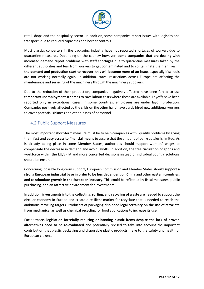

retail shops and the hospitality sector. In addition, some companies report issues with logistics and transport, due to reduced capacities and border controls.

Most plastics converters in the packaging industry have not reported shortages of workers due to quarantine measures. Depending on the country however, **some companies that are dealing with increased demand report problems with staff shortages** due to quarantine measures taken by the different authorities and fear from workers to get contaminated and to contaminate their families. **If the demand and production start to recover, this will become more of an issue**, especially if schools are not working normally again. In addition, travel restrictions across Europe are affecting the maintenance and servicing of the machinery through the machinery suppliers.

Due to the reduction of their production, companies negatively affected have been forced to use **temporary unemployment schemes**to save labour costs where these are available. Layoffs have been reported only in exceptional cases. In some countries, employees are under layoff protection. Companies positively affected by the crisis on the other hand have partly hired new additional workers to cover potential sickness and other losses of personnel.

#### <span id="page-12-0"></span>4.2.Public Support Measures

The most important short-term measure must be to help companies with liquidity problems by giving them **fast and easy access to financial means** to assure that the amount of bankruptcies is limited. As is already taking place in some Member States, authorities should support workers' wages to compensate the decrease in demand and avoid layoffs. In addition, the free circulation of goods and workforce within the EU/EFTA and more concerted decisions instead of individual country solutions should be ensured.

Concerning, possible long-term support, European Commission and Member States should **support a strong European industrial base in order to be less dependent on China** and other eastern countries, and to **stimulate growth in the European industry**. This could be reflected by fiscal measures, public purchasing, and an attractive environment for investments.

In addition, **investments into the collecting, sorting, and recycling of waste** are needed to support the circular economy in Europe and create a resilient market for recyclate that is needed to reach the ambitious recycling targets. Producers of packaging also need **legal certainty on the use of recyclate from mechanical as well as chemical recycling** for food applications to increase its use.

Furthermore, **legislation forcefully reducing or banning plastic items despite the lack of proven alternatives need to be re-evaluated** and potentially revised to take into account the important contribution that plastic packaging and disposable plastic products make to the safety and health of European citizens.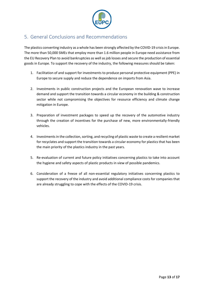

# <span id="page-13-0"></span>5. General Conclusions and Recommendations

The plastics converting industry as a whole has been strongly affected by the COVID-19 crisis in Europe. The more than 50,000 SMEs that employ more than 1.6 million people in Europe need assistance from the EU Recovery Plan to avoid bankruptcies as well as job losses and secure the production of essential goods in Europe. To support the recovery of the industry, the following measures should be taken:

- 1. Facilitation of and support for investments to produce personal protective equipment (PPE) in Europe to secure supply and reduce the dependence on imports from Asia.
- 2. Investments in public construction projects and the European renovation wave to increase demand and support the transition towards a circular economy in the building & construction sector while not compromising the objectives for resource efficiency and climate change mitigation in Europe.
- 3. Preparation of investment packages to speed up the recovery of the automotive industry through the creation of incentives for the purchase of new, more environmentally-friendly vehicles.
- 4. Investments in the collection, sorting, and recycling of plastic waste to create a resilient market for recyclates and support the transition towards a circular economy for plastics that has been the main priority of the plastics industry in the past years.
- 5. Re-evaluation of current and future policy initiatives concerning plastics to take into account the hygiene and safety aspects of plastic products in view of possible pandemics.
- 6. Consideration of a freeze of all non-essential regulatory initiatives concerning plastics to support the recovery of the industry and avoid additional compliance costs for companies that are already struggling to cope with the effects of the COVID-19 crisis.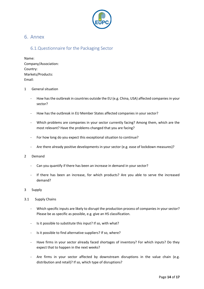

#### <span id="page-14-0"></span>6. Annex

#### <span id="page-14-1"></span>6.1.Questionnaire for the Packaging Sector

Name: Company/Association: Country: Markets/Products: Email:

#### 1 General situation

- How has the outbreak in countries outside the EU (e.g. China, USA) affected companies in your sector?
- How has the outbreak in EU Member States affected companies in your sector?
- Which problems are companies in your sector currently facing? Among them, which are the most relevant? Have the problems changed that you are facing?
- For how long do you expect this exceptional situation to continue?
- Are there already positive developments in your sector (e.g. ease of lockdown measures)?
- 2 Demand
	- Can you quantify if there has been an increase in demand in your sector?
	- If there has been an increase, for which products? Are you able to serve the increased demand?
- 3 Supply
- 3.1 Supply Chains
	- Which specific inputs are likely to disrupt the production process of companies in your sector? Please be as specific as possible, e.g. give an HS classification.
	- Is it possible to substitute this input? If so, with what?
	- Is it possible to find alternative suppliers? If so, where?
	- Have firms in your sector already faced shortages of inventory? For which inputs? Do they expect that to happen in the next weeks?
	- Are firms in your sector affected by downstream disruptions in the value chain (e.g. distribution and retail)? If so, which type of disruptions?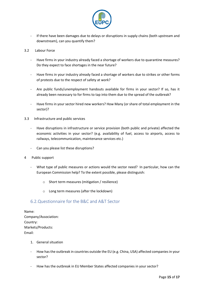

- If there have been damages due to delays or disruptions in supply chains (both upstream and downstream), can you quantify them?
- 3.2 Labour Force
	- Have firms in your industry already faced a shortage of workers due to quarantine measures? Do they expect to face shortages in the near future?
	- Have firms in your industry already faced a shortage of workers due to strikes or other forms of protests due to the respect of safety at work?
	- Are public funds/unemployment handouts available for firms in your sector? If so, has it already been necessary to for firms to tap into them due to the spread of the outbreak?
	- Have firms in your sector hired new workers? How Many (or share of total employment in the sector)?
- 3.3 Infrastructure and public services
	- Have disruptions in infrastructure or service provision (both public and private) affected the economic activities in your sector? (e.g. availability of fuel, access to airports, access to railways, telecommunication, maintenance services etc.)
	- Can you please list these disruptions?
- 4 Public support
	- What type of public measures or actions would the sector need? In particular, how can the European Commission help? To the extent possible, please distinguish:
		- o Short term measures (mitigation / resilience)
		- o Long term measures (after the lockdown)

#### <span id="page-15-0"></span>6.2.Questionnaire for the B&C and A&T Sector

| Name:                |
|----------------------|
| Company/Association: |
| Country:             |
| Markets/Products:    |
| Email:               |

- 1. General situation
- How has the outbreak in countries outside the EU (e.g. China, USA) affected companies in your sector?
- How has the outbreak in EU Member States affected companies in your sector?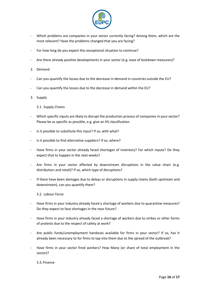

- Which problems are companies in your sector currently facing? Among them, which are the most relevant? Have the problems changed that you are facing?
- For how long do you expect this exceptional situation to continue?
- Are there already positive developments in your sector (e.g. ease of lockdown measures)?
- 2. Demand
- Can you quantify the losses due to the decrease in demand in countries outside the EU?
- Can you quantify the losses due to the decrease in demand within the EU?
- 3. Supply
	- 3.1. Supply Chains
- Which specific inputs are likely to disrupt the production process of companies in your sector? Please be as specific as possible, e.g. give an HS classification.
- Is it possible to substitute this input? If so, with what?
- Is it possible to find alternative suppliers? If so, where?
- Have firms in your sector already faced shortages of inventory? For which inputs? Do they expect that to happen in the next weeks?
- Are firms in your sector affected by downstream disruptions in the value chain (e.g. distribution and retail)? If so, which type of disruptions?
- If there have been damages due to delays or disruptions in supply chains (both upstream and downstream), can you quantify them?

3.2. Labour Force

- Have firms in your industry already faced a shortage of workers due to quarantine measures? Do they expect to face shortages in the near future?
- Have firms in your industry already faced a shortage of workers due to strikes or other forms of protests due to the respect of safety at work?
- Are public funds/unemployment handouts available for firms in your sector? If so, has it already been necessary to for firms to tap into them due to the spread of the outbreak?
- Have firms in your sector fired workers? How Many (or share of total employment in the sector)?

3.3.Finance